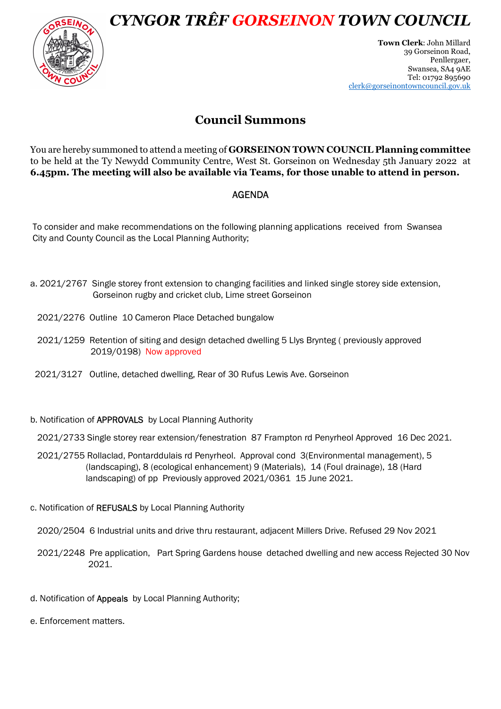CYNGOR TRÊF GORSEINON TOWN COUNCIL



Town Clerk: John Millard 39 Gorseinon Road, Penllergaer, Swansea, SA4 9AE Tel: 01792 895690 clerk@gorseinontowncouncil.gov.uk

## Council Summons

You are hereby summoned to attend a meeting of GORSEINON TOWN COUNCIL Planning committee to be held at the Ty Newydd Community Centre, West St. Gorseinon on Wednesday 5th January 2022 at 6.45pm. The meeting will also be available via Teams, for those unable to attend in person.

## AGENDA

 To consider and make recommendations on the following planning applications received from Swansea City and County Council as the Local Planning Authority;

- a. 2021/2767 Single storey front extension to changing facilities and linked single storey side extension, Gorseinon rugby and cricket club, Lime street Gorseinon
	- 2021/2276 Outline 10 Cameron Place Detached bungalow
	- 2021/1259 Retention of siting and design detached dwelling 5 Llys Brynteg ( previously approved 2019/0198) Now approved
	- 2021/3127 Outline, detached dwelling, Rear of 30 Rufus Lewis Ave. Gorseinon
- b. Notification of APPROVALS by Local Planning Authority

2021/2733 Single storey rear extension/fenestration 87 Frampton rd Penyrheol Approved 16 Dec 2021.

- 2021/2755 Rollaclad, Pontarddulais rd Penyrheol. Approval cond 3(Environmental management), 5 (landscaping), 8 (ecological enhancement) 9 (Materials), 14 (Foul drainage), 18 (Hard landscaping) of pp Previously approved 2021/0361 15 June 2021.
- c. Notification of REFUSALS by Local Planning Authority

2020/2504 6 Industrial units and drive thru restaurant, adjacent Millers Drive. Refused 29 Nov 2021

- 2021/2248 Pre application, Part Spring Gardens house detached dwelling and new access Rejected 30 Nov 2021.
- d. Notification of Appeals by Local Planning Authority;
- e. Enforcement matters.